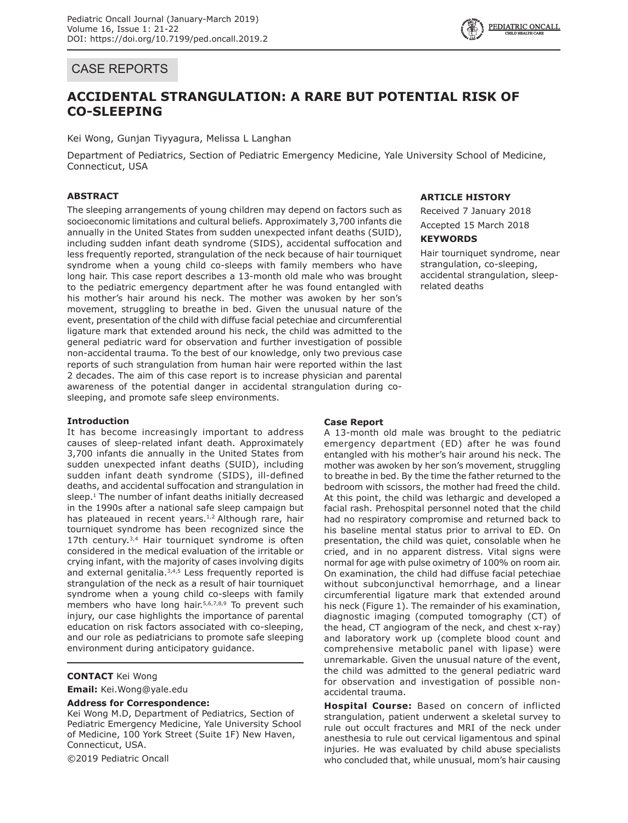## CASE REPORTS

# **ACCIDENTAL STRANGULATION: A RARE BUT POTENTIAL RISK OF CO-SLEEPING**

Kei Wong, Gunjan Tiyyagura, Melissa L Langhan

Department of Pediatrics, Section of Pediatric Emergency Medicine, Yale University School of Medicine, Connecticut, USA

## **ABSTRACT**

The sleeping arrangements of young children may depend on factors such as socioeconomic limitations and cultural beliefs. Approximately 3,700 infants die annually in the United States from sudden unexpected infant deaths (SUID), including sudden infant death syndrome (SIDS), accidental suffocation and less frequently reported, strangulation of the neck because of hair tourniquet syndrome when a young child co-sleeps with family members who have long hair. This case report describes a 13-month old male who was brought to the pediatric emergency department after he was found entangled with his mother's hair around his neck. The mother was awoken by her son's movement, struggling to breathe in bed. Given the unusual nature of the event, presentation of the child with diffuse facial petechiae and circumferential ligature mark that extended around his neck, the child was admitted to the general pediatric ward for observation and further investigation of possible non-accidental trauma. To the best of our knowledge, only two previous case reports of such strangulation from human hair were reported within the last 2 decades. The aim of this case report is to increase physician and parental awareness of the potential danger in accidental strangulation during cosleeping, and promote safe sleep environments.

## **Introduction**

It has become increasingly important to address causes of sleep-related infant death. Approximately 3,700 infants die annually in the United States from sudden unexpected infant deaths (SUID), including sudden infant death syndrome (SIDS), ill-defined deaths, and accidental suffocation and strangulation in sleep. $1$  The number of infant deaths initially decreased in the 1990s after a national safe sleep campaign but has plateaued in recent years.<sup>1,2</sup> Although rare, hair tourniquet syndrome has been recognized since the 17th century.<sup>3,4</sup> Hair tourniquet syndrome is often considered in the medical evaluation of the irritable or crying infant, with the majority of cases involving digits and external genitalia. $3,4,5$  Less frequently reported is strangulation of the neck as a result of hair tourniquet syndrome when a young child co-sleeps with family members who have long hair.<sup>5,6,7,8,9</sup> To prevent such injury, our case highlights the importance of parental education on risk factors associated with co-sleeping, and our role as pediatricians to promote safe sleeping environment during anticipatory guidance.

## **CONTACT** Kei Wong

**Email:** Kei.Wong@yale.edu

#### **Address for Correspondence:**

Kei Wong M.D, Department of Pediatrics, Section of Pediatric Emergency Medicine, Yale University School of Medicine, 100 York Street (Suite 1F) New Haven, Connecticut, USA.

©2019 Pediatric Oncall

### **ARTICLE HISTORY**

Received 7 January 2018 Accepted 15 March 2018

#### **KEYWORDS**

Hair tourniquet syndrome, near strangulation, co-sleeping, accidental strangulation, sleeprelated deaths

### **Case Report**

A 13-month old male was brought to the pediatric emergency department (ED) after he was found entangled with his mother's hair around his neck. The mother was awoken by her son's movement, struggling to breathe in bed. By the time the father returned to the bedroom with scissors, the mother had freed the child. At this point, the child was lethargic and developed a facial rash. Prehospital personnel noted that the child had no respiratory compromise and returned back to his baseline mental status prior to arrival to ED. On presentation, the child was quiet, consolable when he cried, and in no apparent distress. Vital signs were normal for age with pulse oximetry of 100% on room air. On examination, the child had diffuse facial petechiae without subconjunctival hemorrhage, and a linear circumferential ligature mark that extended around his neck (Figure 1). The remainder of his examination, diagnostic imaging (computed tomography (CT) of the head, CT angiogram of the neck, and chest x-ray) and laboratory work up (complete blood count and comprehensive metabolic panel with lipase) were unremarkable. Given the unusual nature of the event, the child was admitted to the general pediatric ward for observation and investigation of possible nonaccidental trauma.

**Hospital Course:** Based on concern of inflicted strangulation, patient underwent a skeletal survey to rule out occult fractures and MRI of the neck under anesthesia to rule out cervical ligamentous and spinal injuries. He was evaluated by child abuse specialists who concluded that, while unusual, mom's hair causing